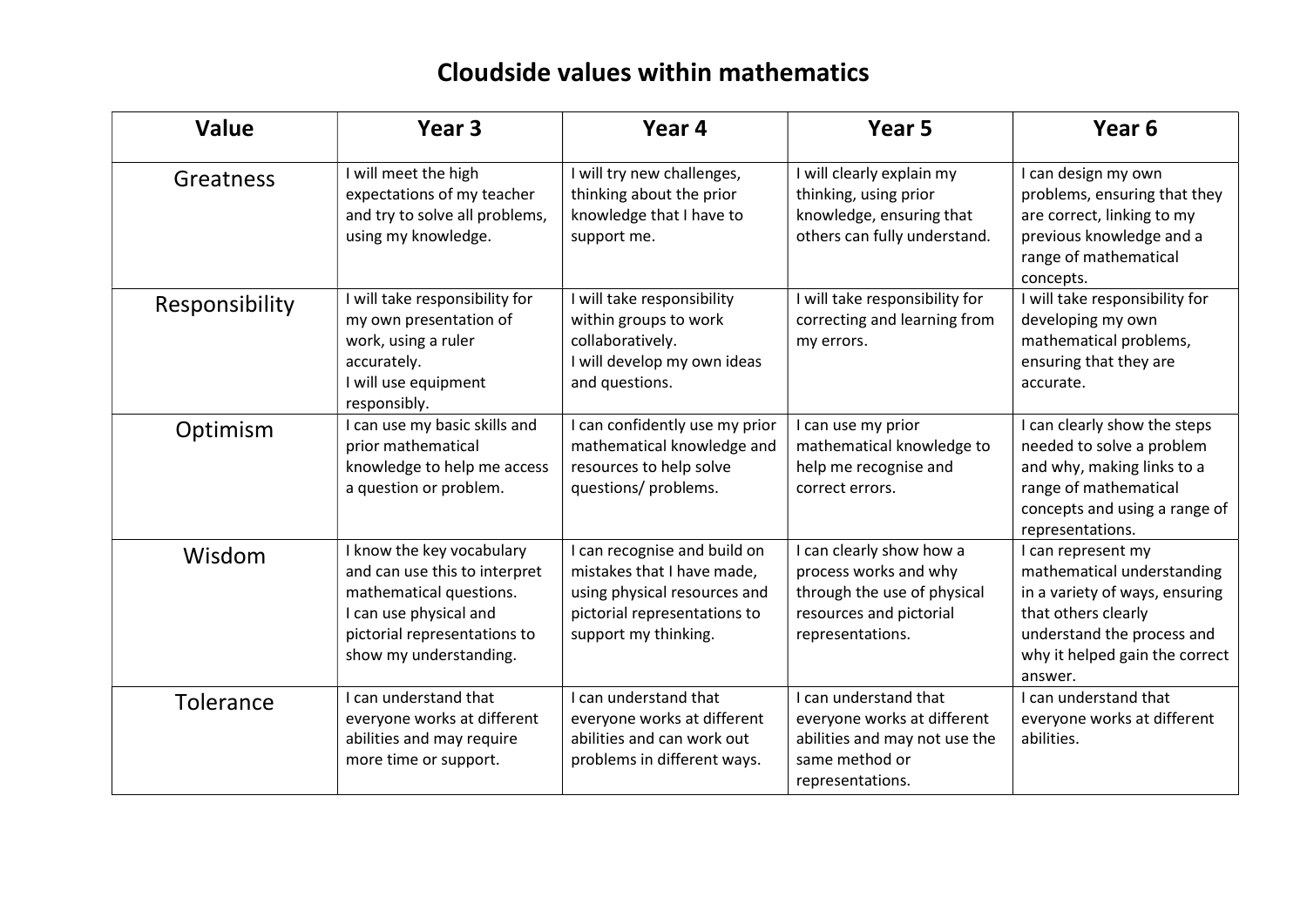## Cloudside values within mathematics

| <b>Value</b>   | Year <sub>3</sub>                                                                                                                                                         | Year 4                                                                                                                                             | Year 5                                                                                                                          | Year <sub>6</sub>                                                                                                                                                                    |
|----------------|---------------------------------------------------------------------------------------------------------------------------------------------------------------------------|----------------------------------------------------------------------------------------------------------------------------------------------------|---------------------------------------------------------------------------------------------------------------------------------|--------------------------------------------------------------------------------------------------------------------------------------------------------------------------------------|
| Greatness      | I will meet the high<br>expectations of my teacher<br>and try to solve all problems,<br>using my knowledge.                                                               | I will try new challenges,<br>thinking about the prior<br>knowledge that I have to<br>support me.                                                  | I will clearly explain my<br>thinking, using prior<br>knowledge, ensuring that<br>others can fully understand.                  | I can design my own<br>problems, ensuring that they<br>are correct, linking to my<br>previous knowledge and a<br>range of mathematical<br>concepts.                                  |
| Responsibility | I will take responsibility for<br>my own presentation of<br>work, using a ruler<br>accurately.<br>I will use equipment<br>responsibly.                                    | I will take responsibility<br>within groups to work<br>collaboratively.<br>I will develop my own ideas<br>and questions.                           | I will take responsibility for<br>correcting and learning from<br>my errors.                                                    | I will take responsibility for<br>developing my own<br>mathematical problems,<br>ensuring that they are<br>accurate.                                                                 |
| Optimism       | I can use my basic skills and<br>prior mathematical<br>knowledge to help me access<br>a question or problem.                                                              | I can confidently use my prior<br>mathematical knowledge and<br>resources to help solve<br>questions/ problems.                                    | I can use my prior<br>mathematical knowledge to<br>help me recognise and<br>correct errors.                                     | I can clearly show the steps<br>needed to solve a problem<br>and why, making links to a<br>range of mathematical<br>concepts and using a range of<br>representations.                |
| Wisdom         | I know the key vocabulary<br>and can use this to interpret<br>mathematical questions.<br>I can use physical and<br>pictorial representations to<br>show my understanding. | I can recognise and build on<br>mistakes that I have made,<br>using physical resources and<br>pictorial representations to<br>support my thinking. | I can clearly show how a<br>process works and why<br>through the use of physical<br>resources and pictorial<br>representations. | I can represent my<br>mathematical understanding<br>in a variety of ways, ensuring<br>that others clearly<br>understand the process and<br>why it helped gain the correct<br>answer. |
| Tolerance      | I can understand that<br>everyone works at different<br>abilities and may require<br>more time or support.                                                                | I can understand that<br>everyone works at different<br>abilities and can work out<br>problems in different ways.                                  | I can understand that<br>everyone works at different<br>abilities and may not use the<br>same method or<br>representations.     | I can understand that<br>everyone works at different<br>abilities.                                                                                                                   |